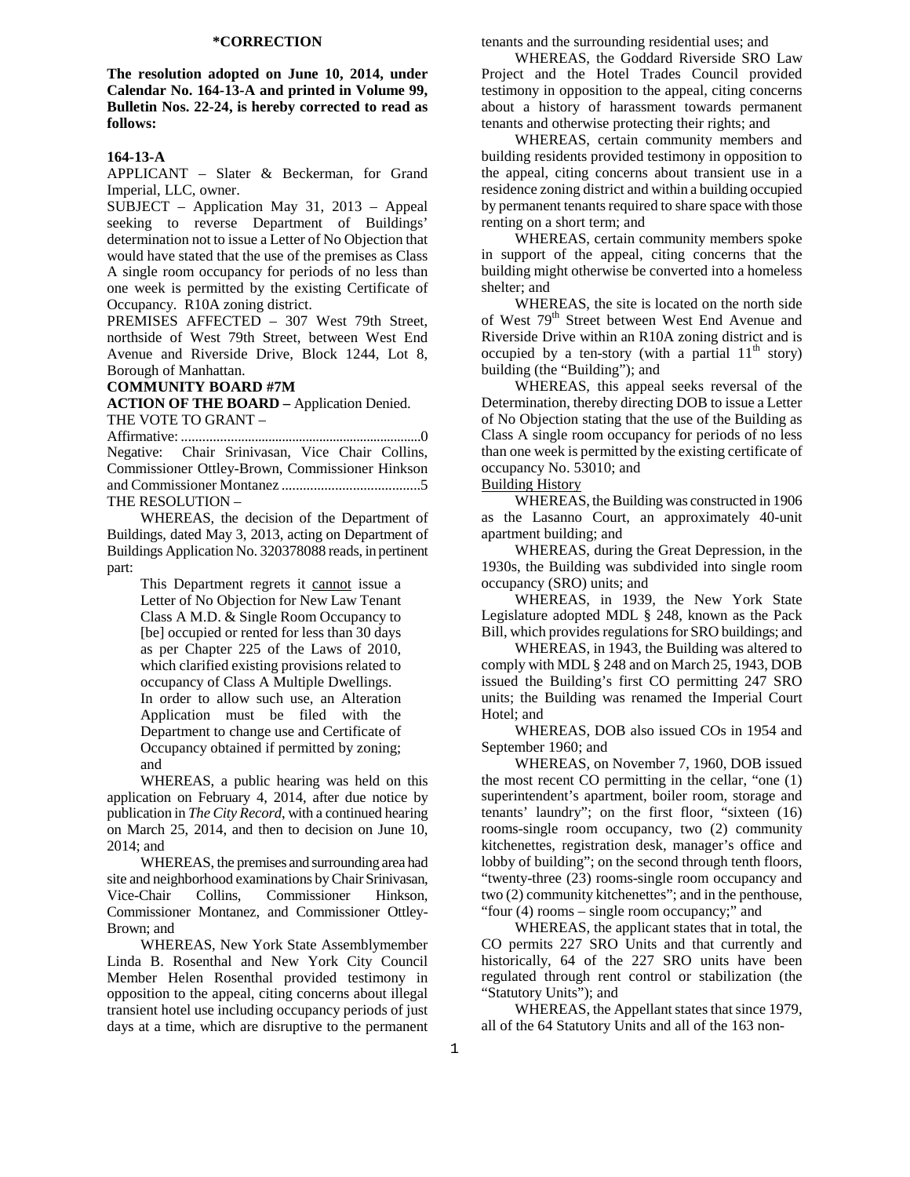# **\*CORRECTION**

**The resolution adopted on June 10, 2014, under Calendar No. 164-13-A and printed in Volume 99, Bulletin Nos. 22-24, is hereby corrected to read as follows:** 

### **164-13-A**

APPLICANT – Slater & Beckerman, for Grand Imperial, LLC, owner.

SUBJECT – Application May 31, 2013 – Appeal seeking to reverse Department of Buildings' determination not to issue a Letter of No Objection that would have stated that the use of the premises as Class A single room occupancy for periods of no less than one week is permitted by the existing Certificate of Occupancy. R10A zoning district.

PREMISES AFFECTED – 307 West 79th Street, northside of West 79th Street, between West End Avenue and Riverside Drive, Block 1244, Lot 8, Borough of Manhattan.

### **COMMUNITY BOARD #7M**

**ACTION OF THE BOARD –** Application Denied. THE VOTE TO GRANT –

Affirmative: ......................................................................0 Negative: Chair Srinivasan, Vice Chair Collins, Commissioner Ottley-Brown, Commissioner Hinkson and Commissioner Montanez .......................................5 THE RESOLUTION –

 WHEREAS, the decision of the Department of Buildings, dated May 3, 2013, acting on Department of Buildings Application No. 320378088 reads, in pertinent part:

> This Department regrets it cannot issue a Letter of No Objection for New Law Tenant Class A M.D. & Single Room Occupancy to [be] occupied or rented for less than 30 days as per Chapter 225 of the Laws of 2010, which clarified existing provisions related to occupancy of Class A Multiple Dwellings. In order to allow such use, an Alteration Application must be filed with the Department to change use and Certificate of Occupancy obtained if permitted by zoning; and

 WHEREAS, a public hearing was held on this application on February 4, 2014, after due notice by publication in *The City Record*, with a continued hearing on March 25, 2014, and then to decision on June 10, 2014; and

 WHEREAS, the premises and surrounding area had site and neighborhood examinations by Chair Srinivasan, Vice-Chair Collins, Commissioner Hinkson, Commissioner Montanez, and Commissioner Ottley-Brown; and

WHEREAS, New York State Assemblymember Linda B. Rosenthal and New York City Council Member Helen Rosenthal provided testimony in opposition to the appeal, citing concerns about illegal transient hotel use including occupancy periods of just days at a time, which are disruptive to the permanent

tenants and the surrounding residential uses; and

WHEREAS, the Goddard Riverside SRO Law Project and the Hotel Trades Council provided testimony in opposition to the appeal, citing concerns about a history of harassment towards permanent tenants and otherwise protecting their rights; and

WHEREAS, certain community members and building residents provided testimony in opposition to the appeal, citing concerns about transient use in a residence zoning district and within a building occupied by permanent tenants required to share space with those renting on a short term; and

WHEREAS, certain community members spoke in support of the appeal, citing concerns that the building might otherwise be converted into a homeless shelter; and

WHEREAS, the site is located on the north side of West 79<sup>th</sup> Street between West End Avenue and Riverside Drive within an R10A zoning district and is occupied by a ten-story (with a partial  $11<sup>th</sup>$  story) building (the "Building"); and

WHEREAS, this appeal seeks reversal of the Determination, thereby directing DOB to issue a Letter of No Objection stating that the use of the Building as Class A single room occupancy for periods of no less than one week is permitted by the existing certificate of occupancy No. 53010; and

# Building History

WHEREAS, the Building was constructed in 1906 as the Lasanno Court, an approximately 40-unit apartment building; and

WHEREAS, during the Great Depression, in the 1930s, the Building was subdivided into single room occupancy (SRO) units; and

WHEREAS, in 1939, the New York State Legislature adopted MDL § 248, known as the Pack Bill, which provides regulations for SRO buildings; and

WHEREAS, in 1943, the Building was altered to comply with MDL § 248 and on March 25, 1943, DOB issued the Building's first CO permitting 247 SRO units; the Building was renamed the Imperial Court Hotel; and

WHEREAS, DOB also issued COs in 1954 and September 1960; and

WHEREAS, on November 7, 1960, DOB issued the most recent CO permitting in the cellar, "one (1) superintendent's apartment, boiler room, storage and tenants' laundry"; on the first floor, "sixteen (16) rooms-single room occupancy, two (2) community kitchenettes, registration desk, manager's office and lobby of building"; on the second through tenth floors, "twenty-three (23) rooms-single room occupancy and two (2) community kitchenettes"; and in the penthouse, "four (4) rooms – single room occupancy;" and

WHEREAS, the applicant states that in total, the CO permits 227 SRO Units and that currently and historically, 64 of the 227 SRO units have been regulated through rent control or stabilization (the "Statutory Units"); and

 WHEREAS, the Appellant states that since 1979, all of the 64 Statutory Units and all of the 163 non-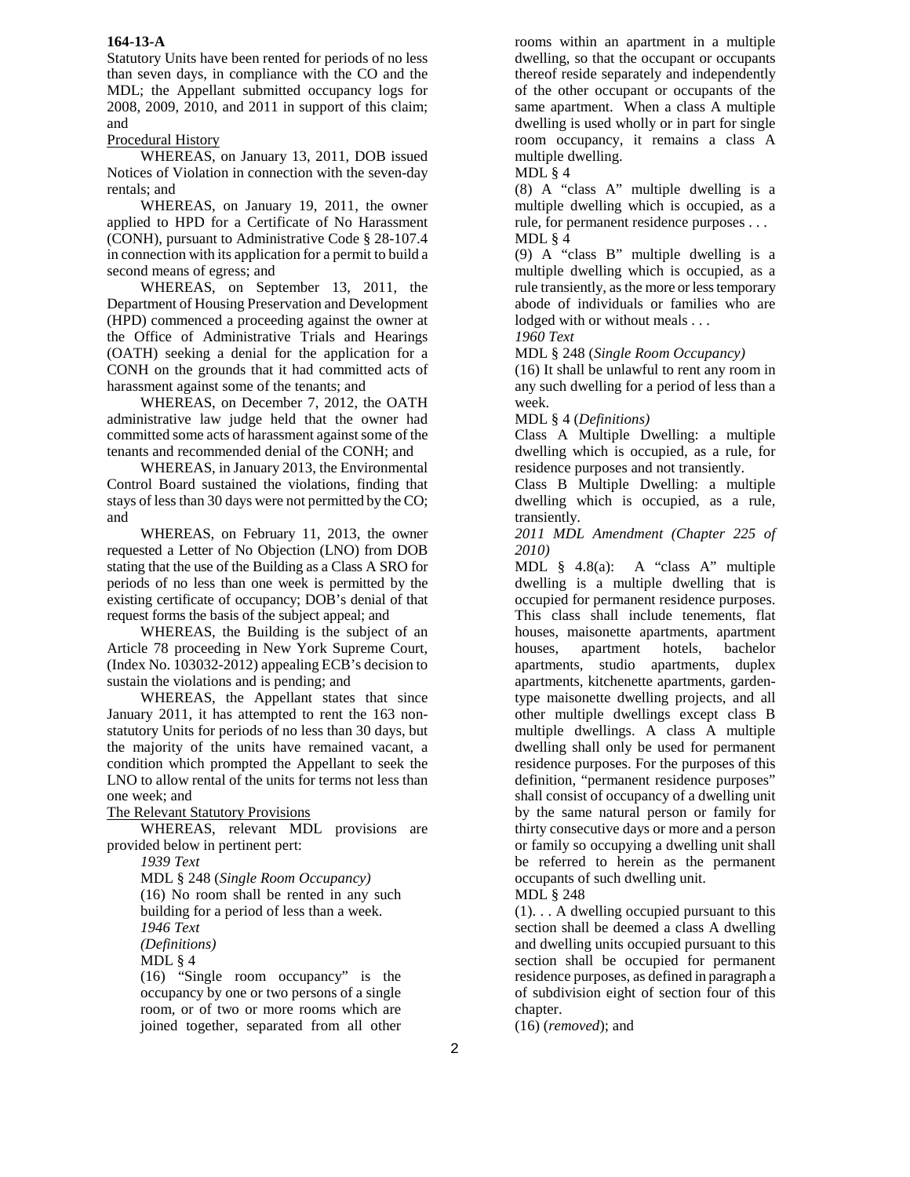Statutory Units have been rented for periods of no less than seven days, in compliance with the CO and the MDL; the Appellant submitted occupancy logs for 2008, 2009, 2010, and 2011 in support of this claim; and

# Procedural History

WHEREAS, on January 13, 2011, DOB issued Notices of Violation in connection with the seven-day rentals; and

WHEREAS, on January 19, 2011, the owner applied to HPD for a Certificate of No Harassment (CONH), pursuant to Administrative Code § 28-107.4 in connection with its application for a permit to build a second means of egress; and

WHEREAS, on September 13, 2011, the Department of Housing Preservation and Development (HPD) commenced a proceeding against the owner at the Office of Administrative Trials and Hearings (OATH) seeking a denial for the application for a CONH on the grounds that it had committed acts of harassment against some of the tenants; and

WHEREAS, on December 7, 2012, the OATH administrative law judge held that the owner had committed some acts of harassment against some of the tenants and recommended denial of the CONH; and

WHEREAS, in January 2013, the Environmental Control Board sustained the violations, finding that stays of less than 30 days were not permitted by the CO; and

WHEREAS, on February 11, 2013, the owner requested a Letter of No Objection (LNO) from DOB stating that the use of the Building as a Class A SRO for periods of no less than one week is permitted by the existing certificate of occupancy; DOB's denial of that request forms the basis of the subject appeal; and

WHEREAS, the Building is the subject of an Article 78 proceeding in New York Supreme Court, (Index No. 103032-2012) appealing ECB's decision to sustain the violations and is pending; and

WHEREAS, the Appellant states that since January 2011, it has attempted to rent the 163 nonstatutory Units for periods of no less than 30 days, but the majority of the units have remained vacant, a condition which prompted the Appellant to seek the LNO to allow rental of the units for terms not less than one week; and

The Relevant Statutory Provisions

WHEREAS, relevant MDL provisions are provided below in pertinent pert:

*1939 Text* 

MDL § 248 (*Single Room Occupancy)*  (16) No room shall be rented in any such building for a period of less than a week. *1946 Text (Definitions)*  MDL § 4

(16) "Single room occupancy" is the occupancy by one or two persons of a single room, or of two or more rooms which are joined together, separated from all other

rooms within an apartment in a multiple dwelling, so that the occupant or occupants thereof reside separately and independently of the other occupant or occupants of the same apartment. When a class A multiple dwelling is used wholly or in part for single room occupancy, it remains a class A multiple dwelling.

MDL § 4

(8) A "class A" multiple dwelling is a multiple dwelling which is occupied, as a rule, for permanent residence purposes . . . MDL  $\S$  4

(9) A "class B" multiple dwelling is a multiple dwelling which is occupied, as a rule transiently, as the more or less temporary abode of individuals or families who are lodged with or without meals . . .

*1960 Text* 

MDL § 248 (*Single Room Occupancy)* 

(16) It shall be unlawful to rent any room in any such dwelling for a period of less than a week.

MDL § 4 (*Definitions)* 

Class A Multiple Dwelling: a multiple dwelling which is occupied, as a rule, for residence purposes and not transiently.

Class B Multiple Dwelling: a multiple dwelling which is occupied, as a rule, transiently.

*2011 MDL Amendment (Chapter 225 of 2010)* 

MDL § 4.8(a): A "class A" multiple dwelling is a multiple dwelling that is occupied for permanent residence purposes. This class shall include tenements, flat houses, maisonette apartments, apartment houses, apartment hotels, bachelor apartments, studio apartments, duplex apartments, kitchenette apartments, gardentype maisonette dwelling projects, and all other multiple dwellings except class B multiple dwellings. A class A multiple dwelling shall only be used for permanent residence purposes. For the purposes of this definition, "permanent residence purposes" shall consist of occupancy of a dwelling unit by the same natural person or family for thirty consecutive days or more and a person or family so occupying a dwelling unit shall be referred to herein as the permanent occupants of such dwelling unit.

MDL § 248

(1). . . A dwelling occupied pursuant to this section shall be deemed a class A dwelling and dwelling units occupied pursuant to this section shall be occupied for permanent residence purposes, as defined in paragraph a of subdivision eight of section four of this chapter.

(16) (*removed*); and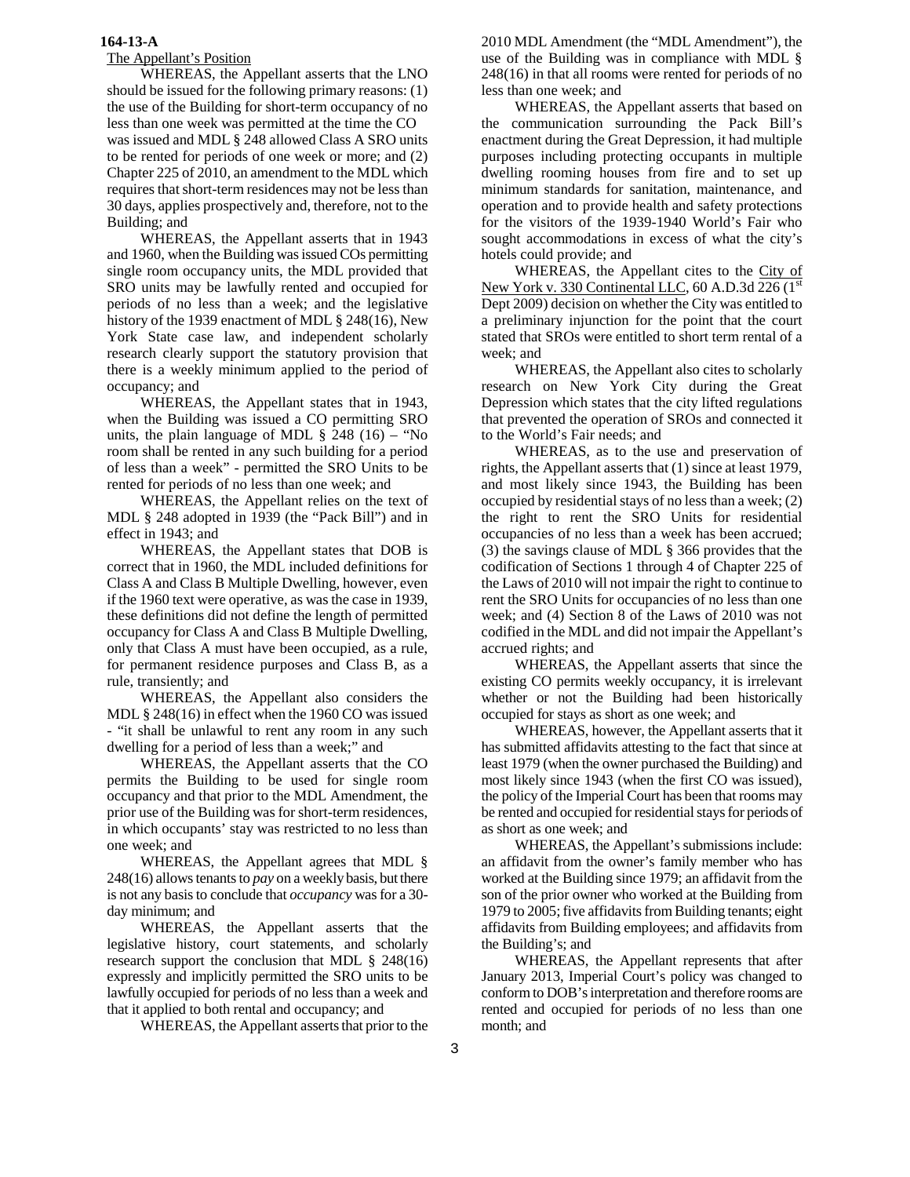# The Appellant's Position

WHEREAS, the Appellant asserts that the LNO should be issued for the following primary reasons: (1) the use of the Building for short-term occupancy of no less than one week was permitted at the time the CO was issued and MDL § 248 allowed Class A SRO units to be rented for periods of one week or more; and (2) Chapter 225 of 2010, an amendment to the MDL which requires that short-term residences may not be less than 30 days, applies prospectively and, therefore, not to the Building; and

WHEREAS, the Appellant asserts that in 1943 and 1960, when the Building was issued COs permitting single room occupancy units, the MDL provided that SRO units may be lawfully rented and occupied for periods of no less than a week; and the legislative history of the 1939 enactment of MDL § 248(16), New York State case law, and independent scholarly research clearly support the statutory provision that there is a weekly minimum applied to the period of occupancy; and

WHEREAS, the Appellant states that in 1943, when the Building was issued a CO permitting SRO units, the plain language of MDL  $\S$  248 (16) – "No room shall be rented in any such building for a period of less than a week" - permitted the SRO Units to be rented for periods of no less than one week; and

WHEREAS, the Appellant relies on the text of MDL § 248 adopted in 1939 (the "Pack Bill") and in effect in 1943; and

WHEREAS, the Appellant states that DOB is correct that in 1960, the MDL included definitions for Class A and Class B Multiple Dwelling, however, even if the 1960 text were operative, as was the case in 1939, these definitions did not define the length of permitted occupancy for Class A and Class B Multiple Dwelling, only that Class A must have been occupied, as a rule, for permanent residence purposes and Class B, as a rule, transiently; and

WHEREAS, the Appellant also considers the MDL § 248(16) in effect when the 1960 CO was issued - "it shall be unlawful to rent any room in any such dwelling for a period of less than a week;" and

WHEREAS, the Appellant asserts that the CO permits the Building to be used for single room occupancy and that prior to the MDL Amendment, the prior use of the Building was for short-term residences, in which occupants' stay was restricted to no less than one week; and

WHEREAS, the Appellant agrees that MDL § 248(16) allows tenants to *pay* on a weekly basis, but there is not any basis to conclude that *occupancy* was for a 30 day minimum; and

WHEREAS, the Appellant asserts that the legislative history, court statements, and scholarly research support the conclusion that MDL § 248(16) expressly and implicitly permitted the SRO units to be lawfully occupied for periods of no less than a week and that it applied to both rental and occupancy; and

WHEREAS, the Appellant asserts that prior to the

2010 MDL Amendment (the "MDL Amendment"), the use of the Building was in compliance with MDL § 248(16) in that all rooms were rented for periods of no less than one week; and

WHEREAS, the Appellant asserts that based on the communication surrounding the Pack Bill's enactment during the Great Depression, it had multiple purposes including protecting occupants in multiple dwelling rooming houses from fire and to set up minimum standards for sanitation, maintenance, and operation and to provide health and safety protections for the visitors of the 1939-1940 World's Fair who sought accommodations in excess of what the city's hotels could provide; and

WHEREAS, the Appellant cites to the City of New York v. 330 Continental LLC, 60 A.D.3d 226 (1st) Dept 2009) decision on whether the City was entitled to a preliminary injunction for the point that the court stated that SROs were entitled to short term rental of a week; and

WHEREAS, the Appellant also cites to scholarly research on New York City during the Great Depression which states that the city lifted regulations that prevented the operation of SROs and connected it to the World's Fair needs; and

WHEREAS, as to the use and preservation of rights, the Appellant asserts that (1) since at least 1979, and most likely since 1943, the Building has been occupied by residential stays of no less than a week; (2) the right to rent the SRO Units for residential occupancies of no less than a week has been accrued; (3) the savings clause of MDL § 366 provides that the codification of Sections 1 through 4 of Chapter 225 of the Laws of 2010 will not impair the right to continue to rent the SRO Units for occupancies of no less than one week; and (4) Section 8 of the Laws of 2010 was not codified in the MDL and did not impair the Appellant's accrued rights; and

WHEREAS, the Appellant asserts that since the existing CO permits weekly occupancy, it is irrelevant whether or not the Building had been historically occupied for stays as short as one week; and

 WHEREAS, however, the Appellant asserts that it has submitted affidavits attesting to the fact that since at least 1979 (when the owner purchased the Building) and most likely since 1943 (when the first CO was issued), the policy of the Imperial Court has been that rooms may be rented and occupied for residential stays for periods of as short as one week; and

WHEREAS, the Appellant's submissions include: an affidavit from the owner's family member who has worked at the Building since 1979; an affidavit from the son of the prior owner who worked at the Building from 1979 to 2005; five affidavits from Building tenants; eight affidavits from Building employees; and affidavits from the Building's; and

WHEREAS, the Appellant represents that after January 2013, Imperial Court's policy was changed to conform to DOB's interpretation and therefore rooms are rented and occupied for periods of no less than one month; and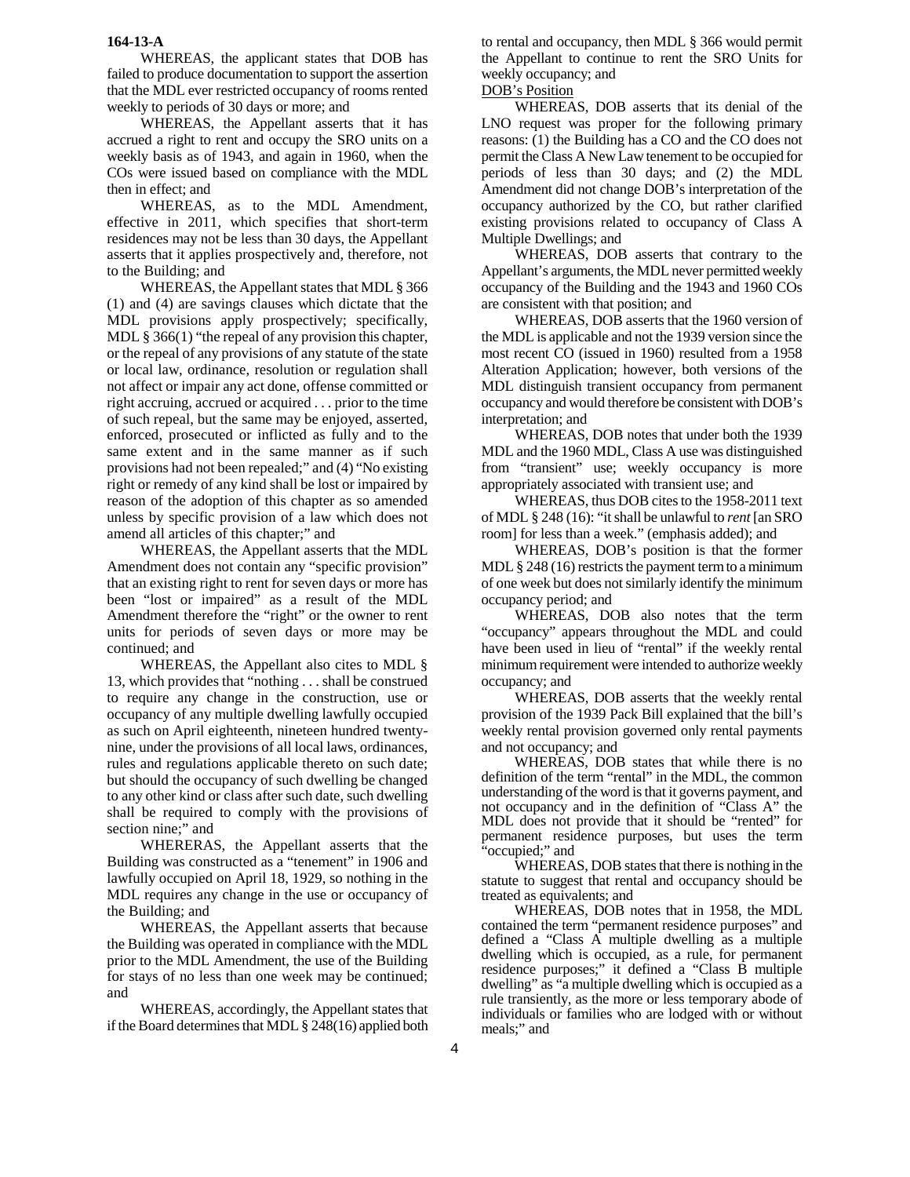WHEREAS, the applicant states that DOB has failed to produce documentation to support the assertion that the MDL ever restricted occupancy of rooms rented weekly to periods of 30 days or more; and

WHEREAS, the Appellant asserts that it has accrued a right to rent and occupy the SRO units on a weekly basis as of 1943, and again in 1960, when the COs were issued based on compliance with the MDL then in effect; and

WHEREAS, as to the MDL Amendment, effective in 2011, which specifies that short-term residences may not be less than 30 days, the Appellant asserts that it applies prospectively and, therefore, not to the Building; and

WHEREAS, the Appellant states that MDL § 366 (1) and (4) are savings clauses which dictate that the MDL provisions apply prospectively; specifically, MDL § 366(1) "the repeal of any provision this chapter, or the repeal of any provisions of any statute of the state or local law, ordinance, resolution or regulation shall not affect or impair any act done, offense committed or right accruing, accrued or acquired . . . prior to the time of such repeal, but the same may be enjoyed, asserted, enforced, prosecuted or inflicted as fully and to the same extent and in the same manner as if such provisions had not been repealed;" and (4) "No existing right or remedy of any kind shall be lost or impaired by reason of the adoption of this chapter as so amended unless by specific provision of a law which does not amend all articles of this chapter;" and

WHEREAS, the Appellant asserts that the MDL Amendment does not contain any "specific provision" that an existing right to rent for seven days or more has been "lost or impaired" as a result of the MDL Amendment therefore the "right" or the owner to rent units for periods of seven days or more may be continued; and

WHEREAS, the Appellant also cites to MDL § 13, which provides that "nothing . . . shall be construed to require any change in the construction, use or occupancy of any multiple dwelling lawfully occupied as such on April eighteenth, nineteen hundred twentynine, under the provisions of all local laws, ordinances, rules and regulations applicable thereto on such date; but should the occupancy of such dwelling be changed to any other kind or class after such date, such dwelling shall be required to comply with the provisions of section nine;" and

WHERERAS, the Appellant asserts that the Building was constructed as a "tenement" in 1906 and lawfully occupied on April 18, 1929, so nothing in the MDL requires any change in the use or occupancy of the Building; and

WHEREAS, the Appellant asserts that because the Building was operated in compliance with the MDL prior to the MDL Amendment, the use of the Building for stays of no less than one week may be continued; and

WHEREAS, accordingly, the Appellant states that if the Board determines that MDL § 248(16) applied both

to rental and occupancy, then MDL § 366 would permit the Appellant to continue to rent the SRO Units for weekly occupancy; and

# DOB's Position

WHEREAS, DOB asserts that its denial of the LNO request was proper for the following primary reasons: (1) the Building has a CO and the CO does not permit the Class A New Law tenement to be occupied for periods of less than 30 days; and (2) the MDL Amendment did not change DOB's interpretation of the occupancy authorized by the CO, but rather clarified existing provisions related to occupancy of Class A Multiple Dwellings; and

WHEREAS, DOB asserts that contrary to the Appellant's arguments, the MDL never permitted weekly occupancy of the Building and the 1943 and 1960 COs are consistent with that position; and

WHEREAS, DOB asserts that the 1960 version of the MDL is applicable and not the 1939 version since the most recent CO (issued in 1960) resulted from a 1958 Alteration Application; however, both versions of the MDL distinguish transient occupancy from permanent occupancy and would therefore be consistent with DOB's interpretation; and

WHEREAS, DOB notes that under both the 1939 MDL and the 1960 MDL, Class A use was distinguished from "transient" use; weekly occupancy is more appropriately associated with transient use; and

WHEREAS, thus DOB cites to the 1958-2011 text of MDL § 248 (16): "it shall be unlawful to *rent* [an SRO room] for less than a week." (emphasis added); and

WHEREAS, DOB's position is that the former MDL  $\S 248(16)$  restricts the payment term to a minimum of one week but does not similarly identify the minimum occupancy period; and

 WHEREAS, DOB also notes that the term "occupancy" appears throughout the MDL and could have been used in lieu of "rental" if the weekly rental minimum requirement were intended to authorize weekly occupancy; and

WHEREAS, DOB asserts that the weekly rental provision of the 1939 Pack Bill explained that the bill's weekly rental provision governed only rental payments and not occupancy; and

WHEREAS, DOB states that while there is no definition of the term "rental" in the MDL, the common understanding of the word is that it governs payment, and not occupancy and in the definition of "Class A" the MDL does not provide that it should be "rented" for permanent residence purposes, but uses the term "occupied;" and

WHEREAS, DOB states that there is nothing in the statute to suggest that rental and occupancy should be treated as equivalents; and

WHEREAS, DOB notes that in 1958, the MDL contained the term "permanent residence purposes" and defined a "Class A multiple dwelling as a multiple dwelling which is occupied, as a rule, for permanent residence purposes;" it defined a "Class B multiple dwelling" as "a multiple dwelling which is occupied as a rule transiently, as the more or less temporary abode of individuals or families who are lodged with or without meals;" and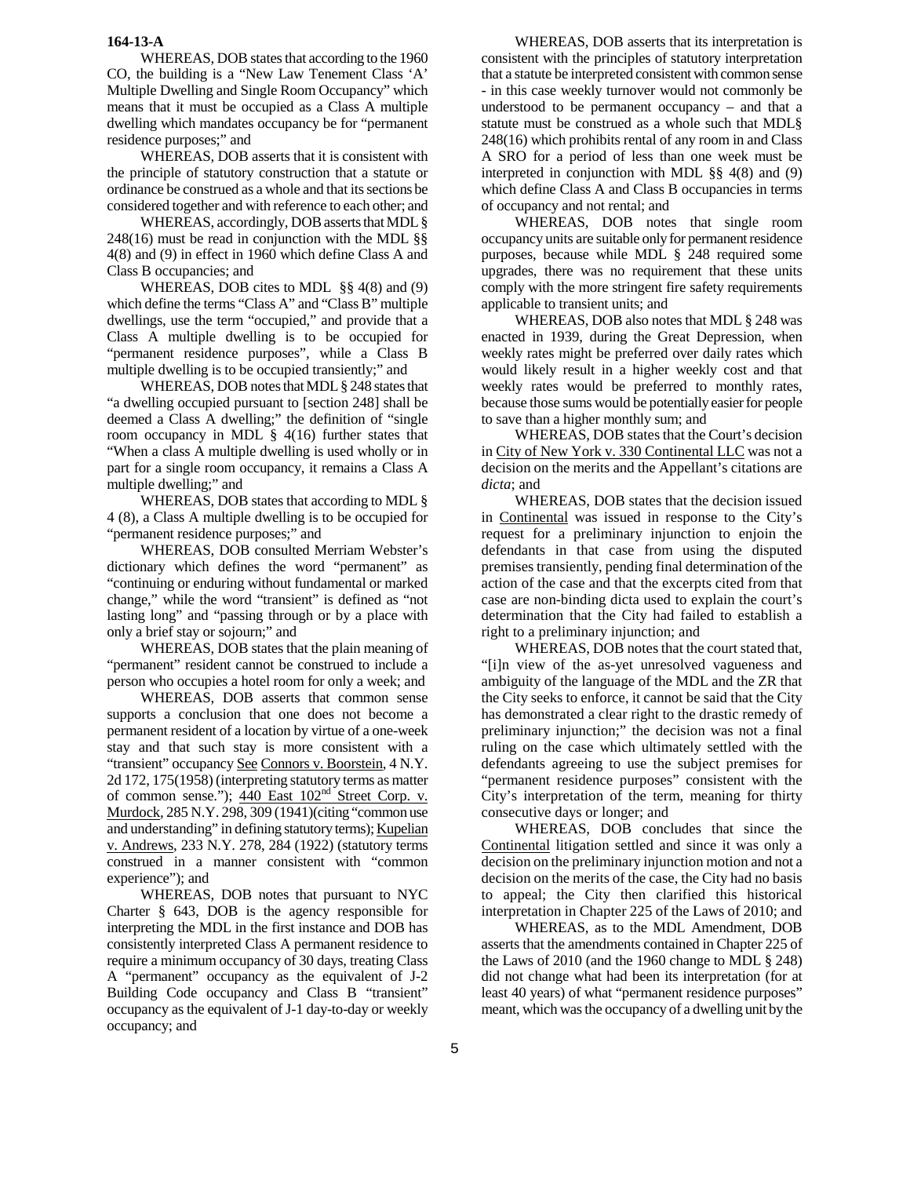WHEREAS, DOB states that according to the 1960 CO, the building is a "New Law Tenement Class 'A' Multiple Dwelling and Single Room Occupancy" which means that it must be occupied as a Class A multiple dwelling which mandates occupancy be for "permanent residence purposes;" and

WHEREAS, DOB asserts that it is consistent with the principle of statutory construction that a statute or ordinance be construed as a whole and that its sections be considered together and with reference to each other; and

WHEREAS, accordingly, DOB asserts that MDL § 248(16) must be read in conjunction with the MDL §§ 4(8) and (9) in effect in 1960 which define Class A and Class B occupancies; and

WHEREAS, DOB cites to MDL §§ 4(8) and (9) which define the terms "Class A" and "Class B" multiple dwellings, use the term "occupied," and provide that a Class A multiple dwelling is to be occupied for "permanent residence purposes", while a Class B multiple dwelling is to be occupied transiently;" and

WHEREAS, DOB notes that MDL § 248 states that "a dwelling occupied pursuant to [section 248] shall be deemed a Class A dwelling;" the definition of "single room occupancy in MDL  $\S$  4(16) further states that "When a class A multiple dwelling is used wholly or in part for a single room occupancy, it remains a Class A multiple dwelling;" and

WHEREAS, DOB states that according to MDL § 4 (8), a Class A multiple dwelling is to be occupied for "permanent residence purposes;" and

WHEREAS, DOB consulted Merriam Webster's dictionary which defines the word "permanent" as "continuing or enduring without fundamental or marked change," while the word "transient" is defined as "not lasting long" and "passing through or by a place with only a brief stay or sojourn;" and

WHEREAS, DOB states that the plain meaning of "permanent" resident cannot be construed to include a person who occupies a hotel room for only a week; and

WHEREAS, DOB asserts that common sense supports a conclusion that one does not become a permanent resident of a location by virtue of a one-week stay and that such stay is more consistent with a "transient" occupancy See Connors v. Boorstein, 4 N.Y. 2d 172, 175(1958) (interpreting statutory terms as matter of common sense."); 440 East  $102<sup>nd</sup>$  Street Corp. v. Murdock*,* 285 N.Y. 298, 309 (1941)(citing "common use and understanding" in defining statutory terms); Kupelian v. Andrews, 233 N.Y. 278, 284 (1922) (statutory terms construed in a manner consistent with "common experience"); and

WHEREAS, DOB notes that pursuant to NYC Charter § 643, DOB is the agency responsible for interpreting the MDL in the first instance and DOB has consistently interpreted Class A permanent residence to require a minimum occupancy of 30 days, treating Class A "permanent" occupancy as the equivalent of J-2 Building Code occupancy and Class B "transient" occupancy as the equivalent of J-1 day-to-day or weekly occupancy; and

WHEREAS, DOB asserts that its interpretation is consistent with the principles of statutory interpretation that a statute be interpreted consistent with common sense - in this case weekly turnover would not commonly be understood to be permanent occupancy – and that a statute must be construed as a whole such that MDL§ 248(16) which prohibits rental of any room in and Class A SRO for a period of less than one week must be interpreted in conjunction with MDL §§ 4(8) and (9) which define Class A and Class B occupancies in terms of occupancy and not rental; and

WHEREAS, DOB notes that single room occupancy units are suitable only for permanent residence purposes, because while MDL § 248 required some upgrades, there was no requirement that these units comply with the more stringent fire safety requirements applicable to transient units; and

WHEREAS, DOB also notes that MDL § 248 was enacted in 1939, during the Great Depression, when weekly rates might be preferred over daily rates which would likely result in a higher weekly cost and that weekly rates would be preferred to monthly rates, because those sums would be potentially easier for people to save than a higher monthly sum; and

 WHEREAS, DOB states that the Court's decision in City of New York v. 330 Continental LLC was not a decision on the merits and the Appellant's citations are *dicta*; and

WHEREAS, DOB states that the decision issued in Continental was issued in response to the City's request for a preliminary injunction to enjoin the defendants in that case from using the disputed premises transiently, pending final determination of the action of the case and that the excerpts cited from that case are non-binding dicta used to explain the court's determination that the City had failed to establish a right to a preliminary injunction; and

WHEREAS, DOB notes that the court stated that, "[i]n view of the as-yet unresolved vagueness and ambiguity of the language of the MDL and the ZR that the City seeks to enforce, it cannot be said that the City has demonstrated a clear right to the drastic remedy of preliminary injunction;" the decision was not a final ruling on the case which ultimately settled with the defendants agreeing to use the subject premises for "permanent residence purposes" consistent with the City's interpretation of the term, meaning for thirty consecutive days or longer; and

WHEREAS, DOB concludes that since the Continental litigation settled and since it was only a decision on the preliminary injunction motion and not a decision on the merits of the case, the City had no basis to appeal; the City then clarified this historical interpretation in Chapter 225 of the Laws of 2010; and

WHEREAS, as to the MDL Amendment, DOB asserts that the amendments contained in Chapter 225 of the Laws of 2010 (and the 1960 change to MDL § 248) did not change what had been its interpretation (for at least 40 years) of what "permanent residence purposes" meant, which was the occupancy of a dwelling unit by the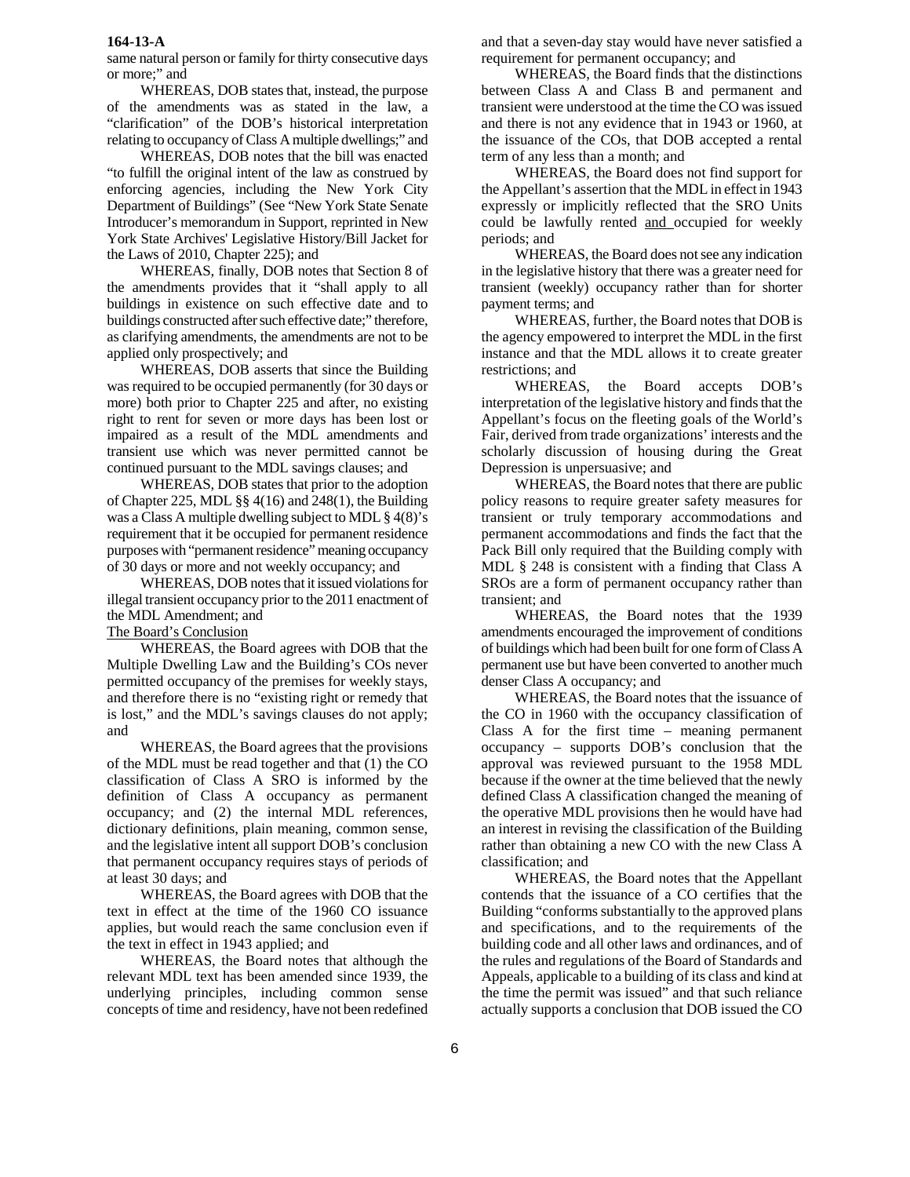same natural person or family for thirty consecutive days or more;" and

 WHEREAS, DOB states that, instead, the purpose of the amendments was as stated in the law, a "clarification" of the DOB's historical interpretation relating to occupancy of Class A multiple dwellings;" and

 WHEREAS, DOB notes that the bill was enacted "to fulfill the original intent of the law as construed by enforcing agencies, including the New York City Department of Buildings" (See "New York State Senate Introducer's memorandum in Support, reprinted in New York State Archives' Legislative History/Bill Jacket for the Laws of 2010, Chapter 225); and

 WHEREAS, finally, DOB notes that Section 8 of the amendments provides that it "shall apply to all buildings in existence on such effective date and to buildings constructed after such effective date;" therefore, as clarifying amendments, the amendments are not to be applied only prospectively; and

 WHEREAS, DOB asserts that since the Building was required to be occupied permanently (for 30 days or more) both prior to Chapter 225 and after, no existing right to rent for seven or more days has been lost or impaired as a result of the MDL amendments and transient use which was never permitted cannot be continued pursuant to the MDL savings clauses; and

 WHEREAS, DOB states that prior to the adoption of Chapter 225, MDL §§ 4(16) and 248(1), the Building was a Class A multiple dwelling subject to MDL § 4(8)'s requirement that it be occupied for permanent residence purposes with "permanent residence" meaning occupancy of 30 days or more and not weekly occupancy; and

 WHEREAS, DOB notes that it issued violations for illegal transient occupancy prior to the 2011 enactment of the MDL Amendment; and

The Board's Conclusion

 WHEREAS, the Board agrees with DOB that the Multiple Dwelling Law and the Building's COs never permitted occupancy of the premises for weekly stays, and therefore there is no "existing right or remedy that is lost," and the MDL's savings clauses do not apply; and

WHEREAS, the Board agrees that the provisions of the MDL must be read together and that (1) the CO classification of Class A SRO is informed by the definition of Class A occupancy as permanent occupancy; and (2) the internal MDL references, dictionary definitions, plain meaning, common sense, and the legislative intent all support DOB's conclusion that permanent occupancy requires stays of periods of at least 30 days; and

WHEREAS, the Board agrees with DOB that the text in effect at the time of the 1960 CO issuance applies, but would reach the same conclusion even if the text in effect in 1943 applied; and

WHEREAS, the Board notes that although the relevant MDL text has been amended since 1939, the underlying principles, including common sense concepts of time and residency, have not been redefined

and that a seven-day stay would have never satisfied a requirement for permanent occupancy; and

WHEREAS, the Board finds that the distinctions between Class A and Class B and permanent and transient were understood at the time the CO was issued and there is not any evidence that in 1943 or 1960, at the issuance of the COs, that DOB accepted a rental term of any less than a month; and

WHEREAS, the Board does not find support for the Appellant's assertion that the MDL in effect in 1943 expressly or implicitly reflected that the SRO Units could be lawfully rented and occupied for weekly periods; and

WHEREAS, the Board does not see any indication in the legislative history that there was a greater need for transient (weekly) occupancy rather than for shorter payment terms; and

 WHEREAS, further, the Board notes that DOB is the agency empowered to interpret the MDL in the first instance and that the MDL allows it to create greater restrictions; and

WHEREAS, the Board accepts DOB's interpretation of the legislative history and finds that the Appellant's focus on the fleeting goals of the World's Fair, derived from trade organizations' interests and the scholarly discussion of housing during the Great Depression is unpersuasive; and

WHEREAS, the Board notes that there are public policy reasons to require greater safety measures for transient or truly temporary accommodations and permanent accommodations and finds the fact that the Pack Bill only required that the Building comply with MDL § 248 is consistent with a finding that Class A SROs are a form of permanent occupancy rather than transient; and

WHEREAS, the Board notes that the 1939 amendments encouraged the improvement of conditions of buildings which had been built for one form of Class A permanent use but have been converted to another much denser Class A occupancy; and

WHEREAS, the Board notes that the issuance of the CO in 1960 with the occupancy classification of Class A for the first time – meaning permanent occupancy – supports DOB's conclusion that the approval was reviewed pursuant to the 1958 MDL because if the owner at the time believed that the newly defined Class A classification changed the meaning of the operative MDL provisions then he would have had an interest in revising the classification of the Building rather than obtaining a new CO with the new Class A classification; and

WHEREAS, the Board notes that the Appellant contends that the issuance of a CO certifies that the Building "conforms substantially to the approved plans and specifications, and to the requirements of the building code and all other laws and ordinances, and of the rules and regulations of the Board of Standards and Appeals, applicable to a building of its class and kind at the time the permit was issued" and that such reliance actually supports a conclusion that DOB issued the CO